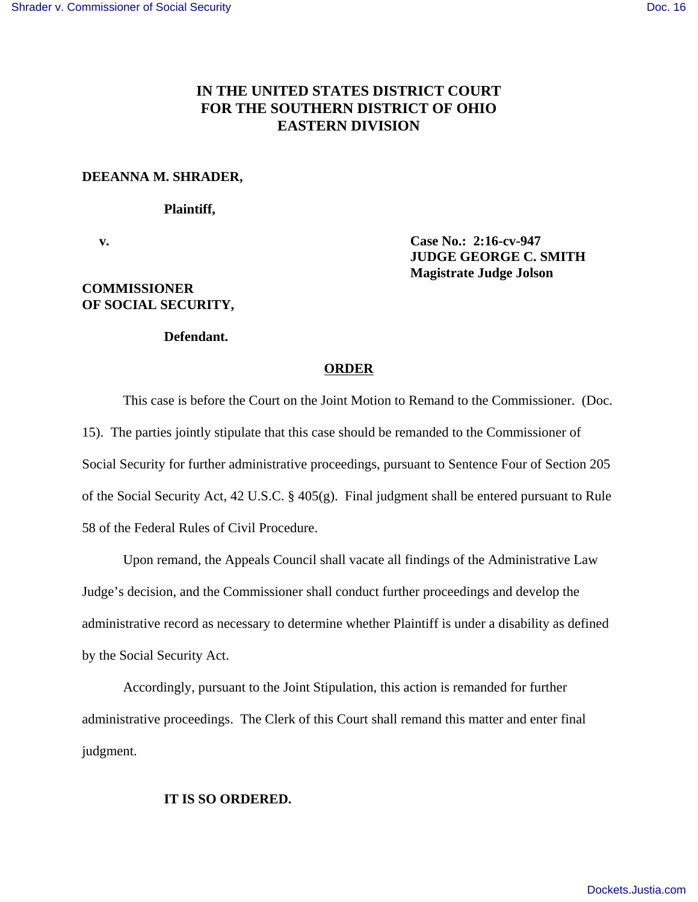# **IN THE UNITED STATES DISTRICT COURT FOR THE SOUTHERN DISTRICT OF OHIO EASTERN DIVISION**

#### **DEEANNA M. SHRADER,**

#### **Plaintiff,**

## **COMMISSIONER OF SOCIAL SECURITY,**

## **v. Case No.: 2:16-cv-947 JUDGE GEORGE C. SMITH Magistrate Judge Jolson**

### **Defendant.**

### **ORDER**

This case is before the Court on the Joint Motion to Remand to the Commissioner. (Doc. 15). The parties jointly stipulate that this case should be remanded to the Commissioner of Social Security for further administrative proceedings, pursuant to Sentence Four of Section 205 of the Social Security Act, 42 U.S.C. § 405(g). Final judgment shall be entered pursuant to Rule 58 of the Federal Rules of Civil Procedure.

Upon remand, the Appeals Council shall vacate all findings of the Administrative Law Judge's decision, and the Commissioner shall conduct further proceedings and develop the administrative record as necessary to determine whether Plaintiff is under a disability as defined by the Social Security Act.

Accordingly, pursuant to the Joint Stipulation, this action is remanded for further administrative proceedings. The Clerk of this Court shall remand this matter and enter final judgment.

### **IT IS SO ORDERED.**